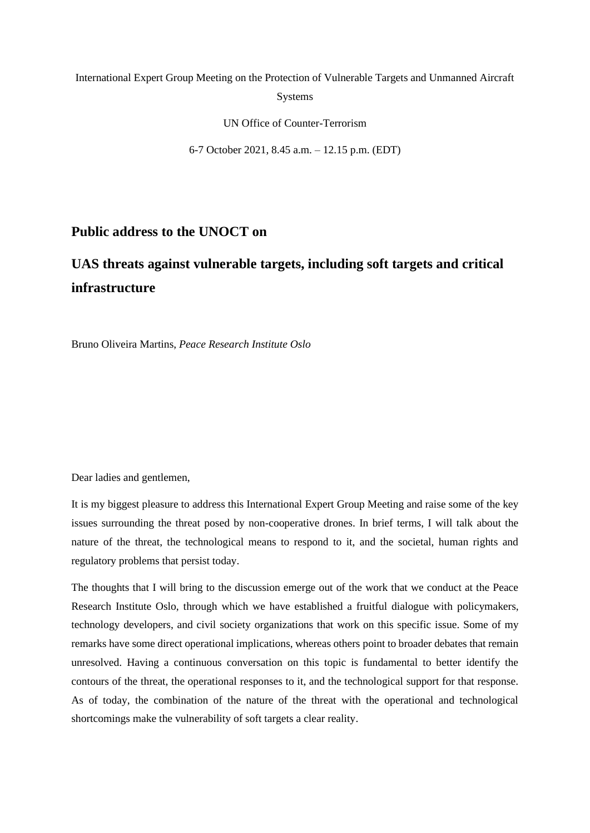## International Expert Group Meeting on the Protection of Vulnerable Targets and Unmanned Aircraft Systems

UN Office of Counter-Terrorism

6-7 October 2021, 8.45 a.m. – 12.15 p.m. (EDT)

### **Public address to the UNOCT on**

# **UAS threats against vulnerable targets, including soft targets and critical infrastructure**

Bruno Oliveira Martins, *Peace Research Institute Oslo*

Dear ladies and gentlemen,

It is my biggest pleasure to address this International Expert Group Meeting and raise some of the key issues surrounding the threat posed by non-cooperative drones. In brief terms, I will talk about the nature of the threat, the technological means to respond to it, and the societal, human rights and regulatory problems that persist today.

The thoughts that I will bring to the discussion emerge out of the work that we conduct at the Peace Research Institute Oslo, through which we have established a fruitful dialogue with policymakers, technology developers, and civil society organizations that work on this specific issue. Some of my remarks have some direct operational implications, whereas others point to broader debates that remain unresolved. Having a continuous conversation on this topic is fundamental to better identify the contours of the threat, the operational responses to it, and the technological support for that response. As of today, the combination of the nature of the threat with the operational and technological shortcomings make the vulnerability of soft targets a clear reality.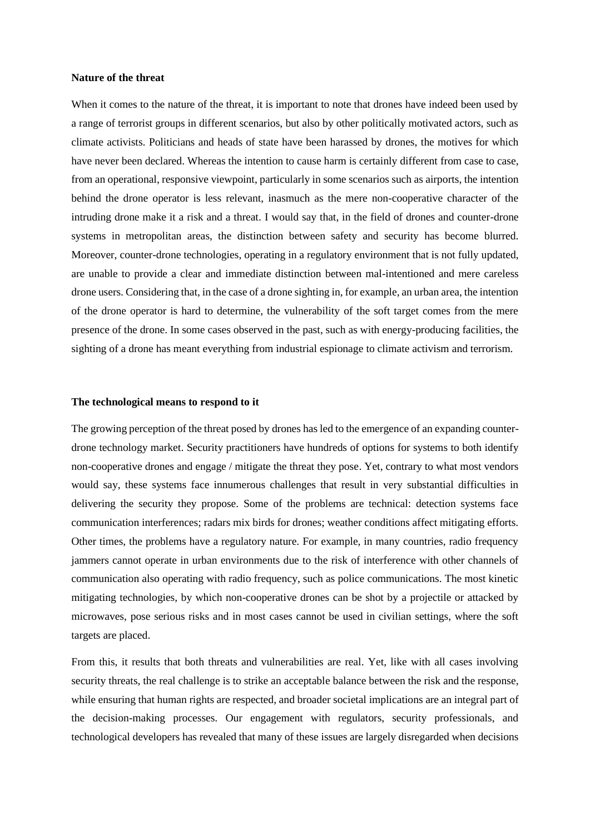#### **Nature of the threat**

When it comes to the nature of the threat, it is important to note that drones have indeed been used by a range of terrorist groups in different scenarios, but also by other politically motivated actors, such as climate activists. Politicians and heads of state have been harassed by drones, the motives for which have never been declared. Whereas the intention to cause harm is certainly different from case to case, from an operational, responsive viewpoint, particularly in some scenarios such as airports, the intention behind the drone operator is less relevant, inasmuch as the mere non-cooperative character of the intruding drone make it a risk and a threat. I would say that, in the field of drones and counter-drone systems in metropolitan areas, the distinction between safety and security has become blurred. Moreover, counter-drone technologies, operating in a regulatory environment that is not fully updated, are unable to provide a clear and immediate distinction between mal-intentioned and mere careless drone users. Considering that, in the case of a drone sighting in, for example, an urban area, the intention of the drone operator is hard to determine, the vulnerability of the soft target comes from the mere presence of the drone. In some cases observed in the past, such as with energy-producing facilities, the sighting of a drone has meant everything from industrial espionage to climate activism and terrorism.

#### **The technological means to respond to it**

The growing perception of the threat posed by drones has led to the emergence of an expanding counterdrone technology market. Security practitioners have hundreds of options for systems to both identify non-cooperative drones and engage / mitigate the threat they pose. Yet, contrary to what most vendors would say, these systems face innumerous challenges that result in very substantial difficulties in delivering the security they propose. Some of the problems are technical: detection systems face communication interferences; radars mix birds for drones; weather conditions affect mitigating efforts. Other times, the problems have a regulatory nature. For example, in many countries, radio frequency jammers cannot operate in urban environments due to the risk of interference with other channels of communication also operating with radio frequency, such as police communications. The most kinetic mitigating technologies, by which non-cooperative drones can be shot by a projectile or attacked by microwaves, pose serious risks and in most cases cannot be used in civilian settings, where the soft targets are placed.

From this, it results that both threats and vulnerabilities are real. Yet, like with all cases involving security threats, the real challenge is to strike an acceptable balance between the risk and the response, while ensuring that human rights are respected, and broader societal implications are an integral part of the decision-making processes. Our engagement with regulators, security professionals, and technological developers has revealed that many of these issues are largely disregarded when decisions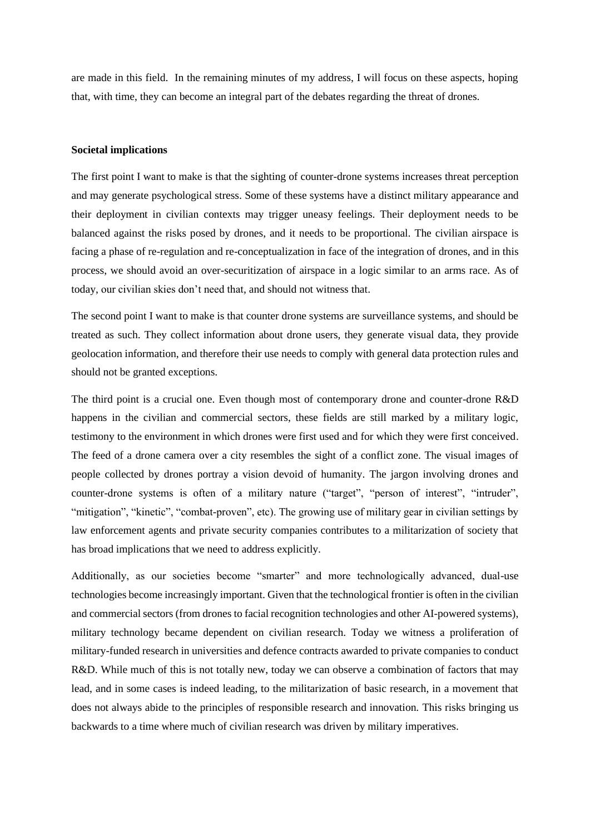are made in this field. In the remaining minutes of my address, I will focus on these aspects, hoping that, with time, they can become an integral part of the debates regarding the threat of drones.

#### **Societal implications**

The first point I want to make is that the sighting of counter-drone systems increases threat perception and may generate psychological stress. Some of these systems have a distinct military appearance and their deployment in civilian contexts may trigger uneasy feelings. Their deployment needs to be balanced against the risks posed by drones, and it needs to be proportional. The civilian airspace is facing a phase of re-regulation and re-conceptualization in face of the integration of drones, and in this process, we should avoid an over-securitization of airspace in a logic similar to an arms race. As of today, our civilian skies don't need that, and should not witness that.

The second point I want to make is that counter drone systems are surveillance systems, and should be treated as such. They collect information about drone users, they generate visual data, they provide geolocation information, and therefore their use needs to comply with general data protection rules and should not be granted exceptions.

The third point is a crucial one. Even though most of contemporary drone and counter-drone R&D happens in the civilian and commercial sectors, these fields are still marked by a military logic, testimony to the environment in which drones were first used and for which they were first conceived. The feed of a drone camera over a city resembles the sight of a conflict zone. The visual images of people collected by drones portray a vision devoid of humanity. The jargon involving drones and counter-drone systems is often of a military nature ("target", "person of interest", "intruder", "mitigation", "kinetic", "combat-proven", etc). The growing use of military gear in civilian settings by law enforcement agents and private security companies contributes to a militarization of society that has broad implications that we need to address explicitly.

Additionally, as our societies become "smarter" and more technologically advanced, dual-use technologies become increasingly important. Given that the technological frontier is often in the civilian and commercial sectors (from drones to facial recognition technologies and other AI-powered systems), military technology became dependent on civilian research. Today we witness a proliferation of military-funded research in universities and defence contracts awarded to private companies to conduct R&D. While much of this is not totally new, today we can observe a combination of factors that may lead, and in some cases is indeed leading, to the militarization of basic research, in a movement that does not always abide to the principles of responsible research and innovation. This risks bringing us backwards to a time where much of civilian research was driven by military imperatives.